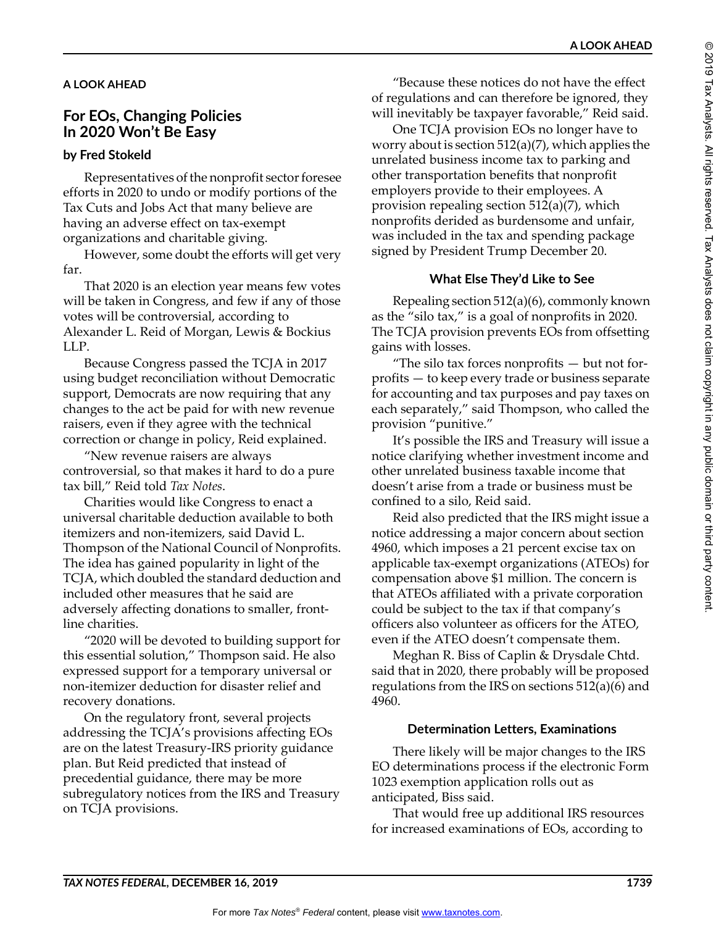### **A LOOK AHEAD**

# **For EOs, Changing Policies In 2020 Won't Be Easy**

### **by Fred Stokeld**

Representatives of the nonprofit sector foresee efforts in 2020 to undo or modify portions of the Tax Cuts and Jobs Act that many believe are having an adverse effect on tax-exempt organizations and charitable giving.

However, some doubt the efforts will get very far.

That 2020 is an election year means few votes will be taken in Congress, and few if any of those votes will be controversial, according to Alexander L. Reid of Morgan, Lewis & Bockius LLP.

Because Congress passed the TCJA in 2017 using budget reconciliation without Democratic support, Democrats are now requiring that any changes to the act be paid for with new revenue raisers, even if they agree with the technical correction or change in policy, Reid explained.

"New revenue raisers are always controversial, so that makes it hard to do a pure tax bill," Reid told *Tax Notes*.

Charities would like Congress to enact a universal charitable deduction available to both itemizers and non-itemizers, said David L. Thompson of the National Council of Nonprofits. The idea has gained popularity in light of the TCJA, which doubled the standard deduction and included other measures that he said are adversely affecting donations to smaller, frontline charities.

"2020 will be devoted to building support for this essential solution," Thompson said. He also expressed support for a temporary universal or non-itemizer deduction for disaster relief and recovery donations.

On the regulatory front, several projects addressing the TCJA's provisions affecting EOs are on the latest Treasury-IRS priority guidance plan. But Reid predicted that instead of precedential guidance, there may be more subregulatory notices from the IRS and Treasury on TCJA provisions.

"Because these notices do not have the effect of regulations and can therefore be ignored, they will inevitably be taxpayer favorable," Reid said.

**A LOOK AHEAD**

One TCJA provision EOs no longer have to worry about is section 512(a)(7), which applies the unrelated business income tax to parking and other transportation benefits that nonprofit employers provide to their employees. A provision repealing section 512(a)(7), which nonprofits derided as burdensome and unfair, was included in the tax and spending package signed by President Trump December 20.

### **What Else They'd Like to See**

Repealing section 512(a)(6), commonly known as the "silo tax," is a goal of nonprofits in 2020. The TCJA provision prevents EOs from offsetting gains with losses.

"The silo tax forces nonprofits — but not forprofits — to keep every trade or business separate for accounting and tax purposes and pay taxes on each separately," said Thompson, who called the provision "punitive."

It's possible the IRS and Treasury will issue a notice clarifying whether investment income and other unrelated business taxable income that doesn't arise from a trade or business must be confined to a silo, Reid said.

Reid also predicted that the IRS might issue a notice addressing a major concern about section 4960, which imposes a 21 percent excise tax on applicable tax-exempt organizations (ATEOs) for compensation above \$1 million. The concern is that ATEOs affiliated with a private corporation could be subject to the tax if that company's officers also volunteer as officers for the ATEO, even if the ATEO doesn't compensate them.

Meghan R. Biss of Caplin & Drysdale Chtd. said that in 2020, there probably will be proposed regulations from the IRS on sections 512(a)(6) and 4960.

## **Determination Letters, Examinations**

There likely will be major changes to the IRS EO determinations process if the electronic Form 1023 exemption application rolls out as anticipated, Biss said.

That would free up additional IRS resources for increased examinations of EOs, according to